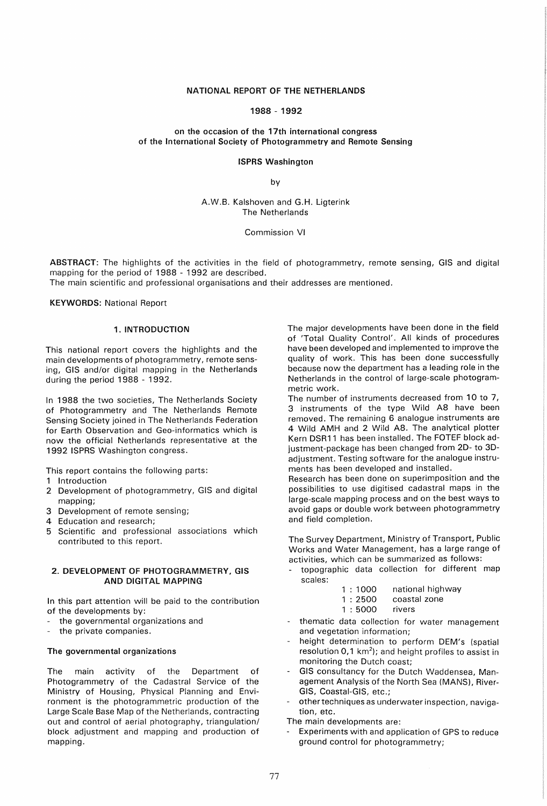# NATIONAL REPORT OF THE NETHERLANDS

# 1988 - 1992

# on the occasion of the 17th international congress of the International Society of Photogrammetry and Remote Sensing

#### ISPRS Washington

by

# A.W.B. Kalshoven and G.H. ligterink The Netherlands

#### Commission VI

ABSTRACT: The highlights of the activities in the field of photogrammetry, remote sensing, GIS and digital mapping for the period of 1988 - 1992 are described.

The main scientific and professional organisations and their addresses are mentioned.

KEYWORDS: National Report

# 1. INTRODUCTION

This national report covers the highlights and the main developments of photogrammetry, remote sensing, GIS and/or digital mapping in the Netherlands during the period 1988 - 1992.

In 1988 the two societies, The Netherlands Society of Photogrammetry and The Netherlands Remote Sensing Society joined in The Netherlands Federation for Earth Observation and Geo-informatics which is now the official Netherlands representative at the 1992 ISPRS Washington congress.

This report contains the following parts:

- 1 Introduction
- 2 Development of photogrammetry, GIS and digital mapping;
- 3 Development of remote sensing;
- 4 Education and research;
- 5 Scientific and professional associations which contributed to this report.

## 2. DEVELOPMENT OF PHOTOGRAMMETRY, GIS AND DIGITAL MAPPING

In this part attention will be paid to the contribution of the developments by:

- the governmental organizations and
- the private companies.

# The governmental organizations

The main activity of the Department of Photogrammetry of the Cadastral Service of the Ministry of Housing, Physical Planning and Environment is the photogrammetric production of the Large Scale Base Map of the Netherlands, contracting out and control of aerial photography, triangulation/ block adjustment and mapping and production of mapping.

The major developments have been done in the field of 'Total Quality Control'. All kinds of procedures have been developed and implemented to improve the quality of work. This has been done successfully because now the department has a leading role in the Netherlands in the control of large-scale photogrammetric work.

The number of instruments decreased from 10 to 7, 3 instruments of the type Wild A8 have been removed. The remaining 6 analogue instruments are 4 Wild AMH and 2 Wild A8. The analytical plotter Kern DSR11 has been installed. The FOTEF block adjustment-package has been changed from 2D- to 3Dadjustment. Testing software for the analogue instruments has been developed and installed.

Research has been done on superimposition and the possibilities to use digitised cadastral maps in the large-scale mapping process and on the best ways to avoid gaps or double work between photogrammetry and field completion.

The Survey Department, Ministry of Transport, Public Works and Water Management, has a large range of activities, which can be summarized as follows:

- topographic data collection for different map scales:
	- 1 : 1000 national highway
	- 1 : 2500 coastal zone
	- 1 : 5000 rivers
- thematic data collection for water management and vegetation information;
- height determination to perform OEM's (spatial resolution  $0.1 \text{ km}^2$ ); and height profiles to assist in monitoring the Dutch coast;
- GIS consultancy for the Dutch Waddensea, Management Analysis of the North Sea (MANS), River-GIS, Coastal-GIS, etc.;
- other techniques as underwater inspection, navigation, etc.
- The main developments are:
- Experiments with and application of GPS to reduce ground control for photogrammetry;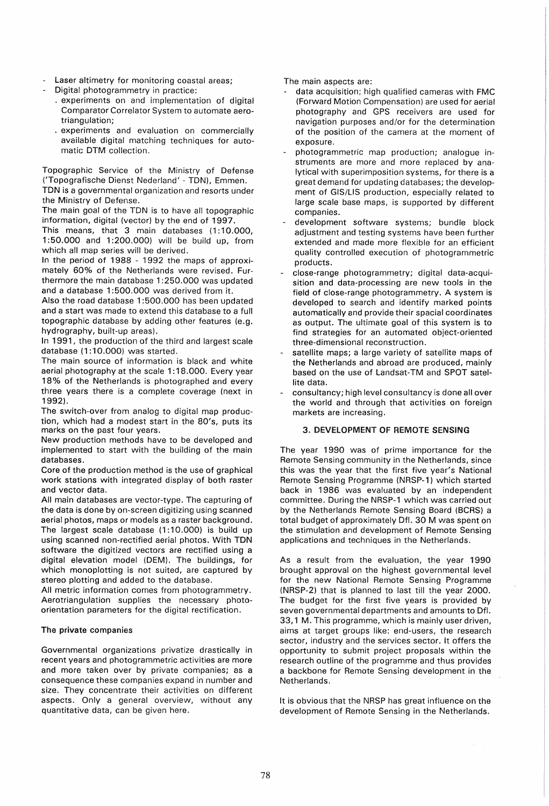- Laser altimetry for monitoring coastal areas;
- Digital photogrammetry in practice:
	- . experiments on and implementation of digital Comparator Correlator System to automate aerotriangulation;
	- . experiments and evaluation on commercially available digital matching techniques for automatic DTM collection.

Topographic Service of the Ministry of Defense ('Topografische Dienst Nederland' - TDN), Emmen. TDN is a governmental organization and resorts under the Ministry of Defense.

The main goal of the TDN is to have all topographic information, digital (vector) by the end of 1997.

This means, that 3 main databases (1:10.000, 1:50.000 and 1:200.000) will be build up, from which all map series will be derived.

In the period of 1988 - 1992 the maps of approximately 60% of the Netherlands were revised. Furthermore the main database 1 :250.000 was updated and a database 1:500.000 was derived from it.

Also the road database 1 :500.000 has been updated and a start was made to extend this database to a full topographic database by adding other features (e.g. hydrography, built-up areas).

In 1991, the production of the third and largest scale database (1:10.000) was started.

The main source of information is black and white aerial photography at the scale 1: 18.000. Every year 18% of the Netherlands is photographed and every three years there is a complete coverage (next in 1992).

The switch-over from analog to digital map production, which had a modest start in the 80's, puts its marks on the past four years.

New production methods have to be developed and implemented to start with the building of the main databases.

Core of the production method is the use of graphical work stations with integrated display of both raster and vector data.

All main databases are vector-type. The capturing of the data is done by on-screen digitizing using scanned aerial photos, maps or models as a raster background. The largest scale database (1:10.000) is build up using scanned non-rectified aerial photos. With TDN software the digitized vectors are rectified using a digital elevation model (DEM). The buildings, for which monoplotting is not suited, are captured by stereo plotting and added to the database.

All metric information comes from photogrammetry. Aerotriangulation supplies the necessary photoorientation parameters for the digital rectification.

# The private companies

Governmental organizations privatize drastically in recent years and photogrammetric activities are more and more taken over by private companies; as a consequence these companies expand in number and size. They concentrate their activities on different aspects. Only a general overview, without any quantitative data, can be given here.

The main aspects are:

- data acquisition; high qualified cameras with FMC (Forward Motion Compensation) are used for aerial photography and GPS receivers are used for navigation purposes and/or for the determination of the position of the camera at the moment of exposure.
- photogrammetric map production; analogue instruments are more and more replaced by analytical with superimposition systems, for there is a great demand for updating databases; the development of GIS/LIS production, especially related to large scale base maps, is supported by different companies.
- development software systems; bundle block adjustment and testing systems have been further extended and made more flexible for an efficient quality controlled execution of photogrammetric products.
- close-range photogrammetry; digital data-acquisition and data-processing are new tools in the field of close-range photogrammetry. A system is developed to search and identify marked points automatically and provide their spacial coordinates as output. The ultimate goal of this system is to find strategies for an automated object-oriented three-dimensional reconstruction.
- satellite maps; a large variety of satellite maps of the Netherlands and abroad are produced, mainly based on the use of landsat-TM and SPOT satellite data.
- consultancy; high level consultancy is done allover the world and through that activities on foreign markets are increasing.

# 3. DEVELOPMENT OF REMOTE SENSING

The year 1990 was of prime importance for the Remote Sensing community in the Netherlands, since this was the year that the first five year's National Remote Sensing Programme (NRSP-1) which started back in 1986 was evaluated by an independent committee. During the NRSP-1 which was carried out by the Netherlands Remote Sensing Board (BCRS) a total budget of approximately Dfl. 30 M was spent on the stimulation and development of Remote Sensing applications and techniques in the Netherlands.

As a result from the evaluation, the year 1990 brought approval on the highest governmental level for the new National Remote Sensing Programme (NRSP-2) that is planned to last till the year 2000. The budget for the first five years is provided by seven governmental departments and amounts to Df!. 33,1 M. This programme, which is mainly user driven, aims at target groups like: end-users, the research sector, industry and the services sector. It offers the opportunity to submit project proposals within the research outline of the programme and thus provides a backbone for Remote Sensing development in the Netherlands.

It is obvious that the NRSP has great influence on the development of Remote Sensing in the Netherlands.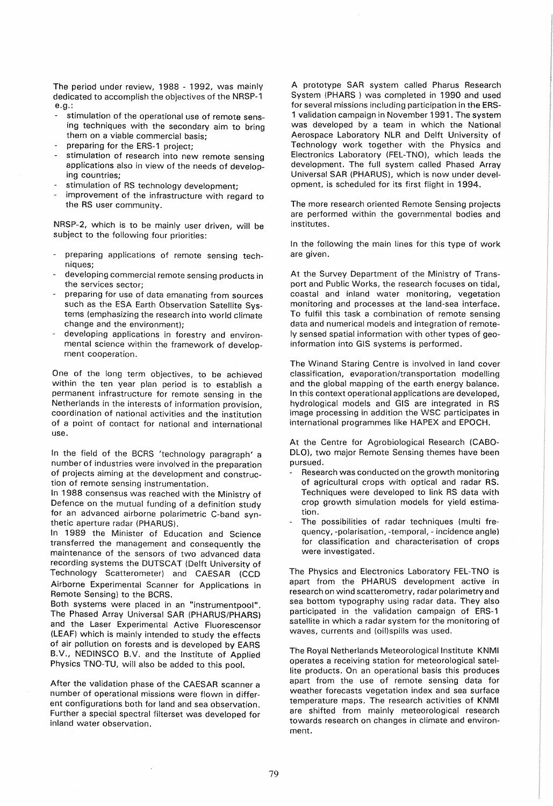The period under review, 1988 - 1992, was mainly dedicated to accomplish the objectives of the NRSP-1 e.g.:

- stimulation of the operational use of remote sensing techniques with the secondary aim to bring them on a viable commercial basis;
- preparing for the ERS-1 project;
- stimulation of research into new remote sensing applications also in view of the needs of developing countries;
- stimulation of RS technology development;
- improvement of the infrastructure with regard to the RS user community.

NRSP-2, which is to be mainly user driven, will be subject to the following four priorities:

- preparing applications of remote sensing techniques;
- developing commercial remote sensing products in the services sector;
- preparing for use of data emanating from sources such as the ESA Earth Observation Satellite Systems (emphasizing the research into world climate change and the environment);
- developing applications in forestry and environmental science within the framework of development cooperation.

One of the long term objectives, to be achieved within the ten year plan period is to establish a permanent infrastructure for remote sensing in the Netherlands in the interests of information provision, coordination of national activities and the institution of a point of contact for national and international use.

In the field of the BCRS 'technology paragraph' a number of industries were involved in the preparation of projects aiming at the development and construction of remote sensing instrumentation.

In 1988 consensus was reached with the Ministry of Defence on the mutual funding of a definition study for an advanced airborne polarimetric C-band synthetic aperture radar (PHARUS).

In 1989 the Minister of Education and Science transferred the management and consequently the maintenance of the sensors of two advanced data recording systems the DUTSCAT (Delft University of Technology Scatterometer) and CAESAR (CCD Airborne Experimental Scanner for Applications in Remote Sensing) to the BCRS.

Both systems were placed in an "instrumentpool". The Phased Array Universal SAR (PHARUS/PHARS) and the Laser Experimental Active Fluorescensor (LEAF) which is mainly intended to study the effects of air pollution on forests and is developed by EARS B.V., NEDINSCO B.V. and the Institute of Applied Physics TNO-TU, will also be added to this pool.

After the validation phase of the CAESAR scanner a number of operational missions were flown in different configurations both for land and sea observation. Further a special spectral filterset was developed for inland water observation.

A prototype SAR system called Pharus Research System (PHARS ) was completed in 1990 and used for several missions including participation in the ERS-1 validation campaign in November 1991 . The system was developed by a team in which the National Aerospace Laboratory NLR and Delft University of Technology work together with the Physics and Electronics Laboratory (FEL-TNO), which leads the development. The full system called Phased Array Universal SAR (PHARUS), which is now under development, is scheduled for its first flight in 1994.

The more research oriented Remote Sensing projects are performed within the governmental bodies and institutes.

In the following the main lines for this type of work are given.

At the Survey Department of the Ministry of Transport and Public Works, the research focuses on tidal, coastal and inland water monitoring, vegetation monitoring and processes at the land-sea interface. To fulfil this task a combination of remote sensing data and numerical models and integration of remotely sensed spatial information with other types of geoinformation into GIS systems is performed.

The Winand Staring Centre is involved in land cover classification, evaporation/transportation modelling and the global mapping of the earth energy balance. In this context operational applications are developed, hydrological models and GIS are integrated in RS image processing in addition the WSC participates in international programmes like HAPEX and EPOCH.

At the Centre for Agrobiologicai Research (CABO-DLO), two major Remote Sensing themes have been pursued.

- Research was conducted on the growth monitoring of agricultural crops with optical and radar RS. Techniques were developed to link RS data with crop growth simulation models for yield estimation.
- The possibilities of radar techniques (multi frequency, -polarisation, -temporal, - incidence angle) for classification and characterisation of crops were investigated.

The Physics and Electronics Laboratory FEL-TNO is apart from the PHARUS development active in research on wind scatterometry, radar polarimetry and sea bottom typography using radar data. They also participated in the validation campaign of ERS-1 satellite in which a radar system for the monitoring of waves, currents and (oi!)spills was used.

The Royal Netherlands Meteorological Institute KNMI operates a receiving station for meteorological satellite products. On an operational basis this produces apart from the use of remote sensing data for weather forecasts vegetation index and sea surface temperature maps. The research activities of KNMI are shifted from mainly meteorological research towards research on changes in climate and environment.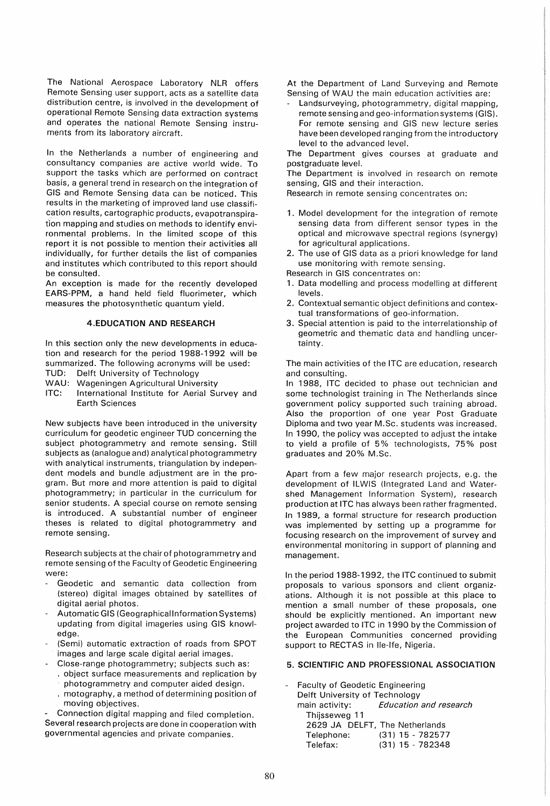The National Aerospace Laboratory NLR offers Remote Sensing user support, acts as a satellite data distribution centre, is involved in the development of operational Remote Sensing data extraction systems and operates the national Remote Sensing instruments from its laboratory aircraft.

In the Netherlands a number of engineering and consultancy companies are active world wide. To support the tasks which are performed on contract basis, a general trend in research on the integration of GIS and Remote Sensing data can be noticed. This results in the marketing of improved land use classification results, cartographic products, evapotranspiration mapping and studies on methods to identify environmental problems. In the limited scope of this report it is not possible to mention their activities all individually, for further details the list of companies and institutes which contributed to this report should be consulted.

An exception is made for the recently developed EARS-PPM, a hand held field fluorimeter, which measures the photosynthetic quantum yield.

### 4.EDUCATION AND RESEARCH

In this section only the new developments in education and research for the period 1988-1992 will be summarized. The following acronyms will be used:

- TUD: Delft University of Technology
- WAU: Wageningen Agricultural University
- ITC: International Institute for Aerial Survey and Earth Sciences

New subjects have been introduced in the university curriculum for geodetic engineer TUD concerning the subject photogrammetry and remote sensing. Still subjects as (analogue and) analytical photogrammetry with analytical instruments, triangulation by independent models and bundle adjustment are in the program. But more and more attention is paid to digital photogrammetry; in particular in the curriculum for senior students. A special course on remote sensing is introduced. A substantial number of engineer theses is related to digital photogrammetry and remote sensing.

Research subjects at the chair of photogrammetry and remote sensing of the Faculty of Geodetic Engineering were:

- Geodetic and semantic data collection from (stereo) digital images obtained by satellites of digital aerial photos.
- Automatic GIS (Geographical Information Systems) updating from digital imageries using GIS knowledge.
- (Semi) automatic extraction of roads from SPOT images and large scale digital aerial images.
	- Close-range photogrammetry; subjects such as:
	- object surface measurements and replication by
	- photogrammetry and computer aided design.
	- motography, a method of determining position of moving objectives.

Connection digital mapping and filed completion. Several research projects are done in cooperation with governmental agencies and private companies.

At the Department of Land Surveying and Remote Sensing of WAU the main education activities are:

Landsurveying, photogrammetry, digital mapping, remote sensing and geo-information systems (GIS). For remote sensing and GIS new lecture series have been developed ranging from the introductory level to the advanced level.

The Department gives courses at graduate and postgraduate level.

The Department is involved in research on remote sensing, GIS and their interaction.

Research in remote sensing concentrates on:

- 1. Model development for the integration of remote sensing data from different sensor types in the optical and microwave spectral regions (synergy) for agricultural applications.
- 2. The use of GIS data as a priori knowledge for land use monitoring with remote sensing.

Research in GIS concentrates on:

- 1. Data modelling and process modelling at different levels.
- 2. Contextual semantic object definitions and contextual transformations of geo-information.
- 3. Special attention is paid to the interrelationship of geometric and thematic data and handling uncertainty.

The main activities of the ITC are education, research and consulting.

In 1988, ITC decided to phase out technician and some technologist training in The Netherlands since government policy supported such training abroad. Also the proportion of one year Post Graduate Diploma and two year M.Sc. students was increased. In 1990, the policy was accepted to adjust the intake to yield a profile of 5% technologists, 75% post graduates and 20% M.Sc.

Apart from a few major research projects, e.g. the development of ILWIS (Integrated Land and Watershed Management Information System), research production at ITC has always been rather fragmented. In 1989, a formal structure for research production was implemented by setting up a programme for focusing research on the improvement of survey and environmental monitoring in support of planning and management.

In the period 1988-1992, the ITC continued to submit proposals to various sponsors and client organizations. Although it is not possible at this place to mention a small number of these proposals, one should be explicitly mentioned. An important new project awarded to ITC in 1990 by the Commission of the European Communities concerned providing support to RECTAS in Ile-Ife, Nigeria.

### 5. SCIENTIFIC AND PROFESSIONAL ASSOCIATION

Faculty of Geodetic Engineering Delft University of Technology main activity: Education and research Thijsseweg 11 2629 JA DELFT, The Netherlands Telephone: (31) 15 - 782577 Telefax: (31) 15 - 782348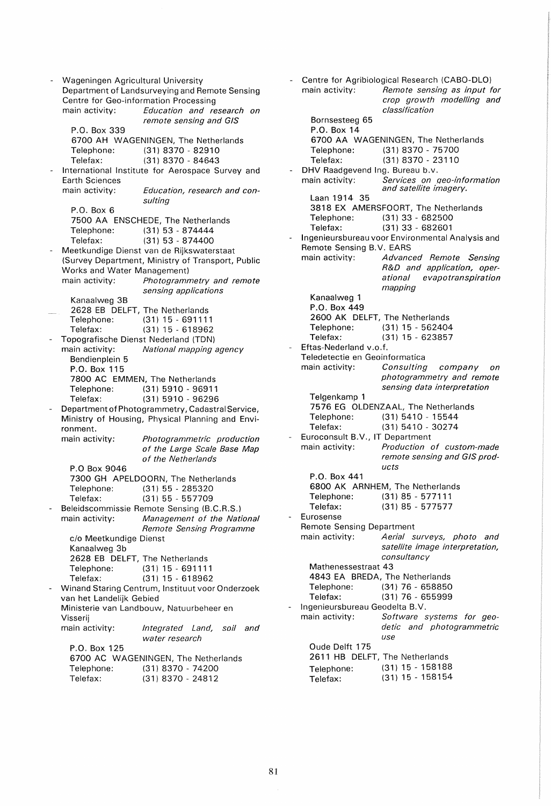- Wageningen Agricultural University Department of Landsurveying and Remote Sensing Centre for Geo-information Processing<br>main activity: Education and re Education and research on remote sensing and GIS P.O. Box 339 6700 AH WAGENINGEN, The Netherlands Telephone: (31) 8370 - 82910 Telefax: (31) 8370 - 84643 International Institute for Aerospace Survey and Earth Sciences main activity: Education, research and consulting P.O. Box 6 7500 AA ENSCHEDE, The Netherlands Telephone: (31) 53 - 874444 Teiefax: (31) 53 - 874400 Meetkundige Dienst van de Rijkswaterstaat (Survey Department, Ministry of Transport, Public Works and Water Management) main activity: Photogrammetry and remote sensing applications Kanaalweg 3B 2628 EB DELFT, The Netherlands Telephone: (31) 15 - 691111 (31) 15 - 618962 - Topografische Dienst Nederland (TON) main activity: National mapping agency Bendienplein 5 P.O. Box 115 7800 AC EMMEN, The Netherlands Telephone: (31) 5910 - 96911 (31) 5910 - 96296 Department of Photogrammetry, Cadastral Service, Ministry of Housing, Physical Planning and Environment.<br>main activity: Photogrammetric production of the Large Scale Base Map of the Netherlands P.O Box 9046 7300 GH APELDOORN, The Netherlands Telephone: (31) 55 - 285320 Telefax: (31) 55 - 557709 Beleidscommissie Remote Sensing (B.C.R.S.) main activity: Management of the National Remote Sensing Programme c/o Meetkundige Dienst Kanaalweg 3b 2628 EB DELFT, The Netherlands Telephone: (31) 15 - 691111 Telefax: (31) 15 - 618962 Winand Staring Centrum, Instituut voor Onderzoek van het Landelijk Gebied Ministerie van Landbouw, Natuurbeheer en Visserij main activity: P.O. Box 125 Integrated Land, soil and water research 6700 AC WAGENINGEN, The Netherlands Telephone: (31) 8370 - 74200 Telefax: (31) 8370 - 24812

Centre for Agribiological Research (CABO-DLO) main activity: Remote sensing as input for crop growth modelling and classification Bornsesteeg 65 P.O. Box 14 6700 AA WAGENINGEN, The Netherlands Telephone: (31) 8370 - 75700 Telefax: (31) 8370 - 23110 DHV Raadgevend Ing. Bureau b.v. main activity: Services on geo-information and satellite imagery. Laan 1914 35 3818 EX AMERSFOORT, The Netherlands<br>Telephone: (31) 33 - 682500 (31) 33 - 682500 Telefax: (31) 33 - 682601 Ingenieursbureau voor Environmental Analysis and Remote Sensing B. V. EARS main activity: Advanced Remote Sensing R&D and application, operational evapotranspiration mapping Kanaalweg 1 P.O. Box 449 2600 AK DELFT, The Netherlands<br>Telephone: (31) 15 - 562404 Telephone: (31) 15 - 562404<br>Telefax: (31) 15 - 623857  $(31)$  15 - 623857 Eftas-Nederland v.o.f. Teledetectie en Geoinformatica main activity: Consulting company on photogrammetry and remote sensing data interpretation Telgenkamp 1 7576 EG OLDENZAAL, The Netherlands Telephone: (31) 5410 - 15544 Telefax: (31) 5410 - 30274 Euroconsult B.V., IT Department main activity: Production of custom-made remote sensing and GIS products P.O. Box 441 6800 AK ARNHEM, The Netherlands Telephone: (31) 85 - 577111 Telefax: (31) 85 - 577577 **Eurosense** Remote Sensing Department main activity: Aerial surveys, photo and satellite image interpretation, consultancy Mathenessestraat 43 4843 EA BREDA, The Netherlands Telephone: (3'1) 76 - 658850 Telefax: (31) 76 - 655999 - Ingenieursbureau Geodelta B.V. main activity: Software systems for geodetic and photogrammetric use Oude Delft 175 2611 HB DELFT, The Netherlands Telephone: (31) 15 - 158188 Telefax: (31) 15 - 158154